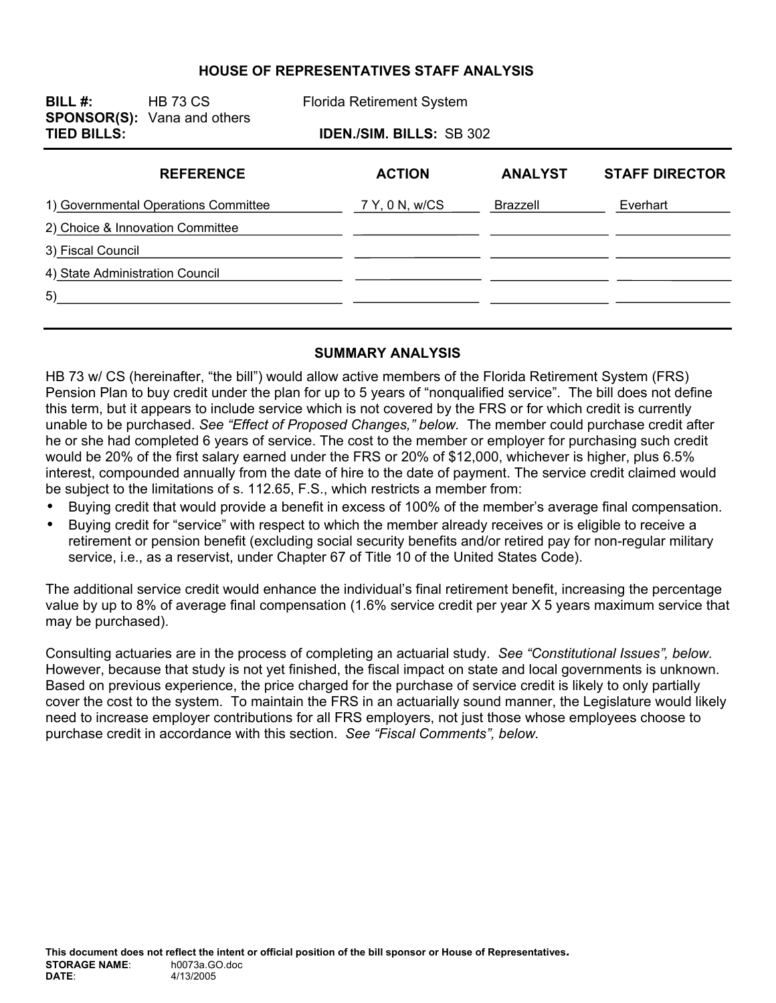### **HOUSE OF REPRESENTATIVES STAFF ANALYSIS**

| BILL $#$ :<br><b>TIED BILLS:</b>     | <b>HB 73 CS</b><br><b>SPONSOR(S):</b> Vana and others | <b>Florida Retirement System</b> |                |                |                       |
|--------------------------------------|-------------------------------------------------------|----------------------------------|----------------|----------------|-----------------------|
|                                      |                                                       | <b>IDEN./SIM. BILLS: SB 302</b>  |                |                |                       |
|                                      | <b>REFERENCE</b>                                      |                                  | <b>ACTION</b>  | <b>ANALYST</b> | <b>STAFF DIRECTOR</b> |
| 1) Governmental Operations Committee |                                                       |                                  | 7 Y, 0 N, w/CS | Brazzell       | Everhart              |
| 2) Choice & Innovation Committee     |                                                       |                                  |                |                |                       |
| 3) Fiscal Council                    |                                                       |                                  |                |                |                       |
| 4) State Administration Council      |                                                       |                                  |                |                |                       |
| 5)                                   |                                                       |                                  |                |                |                       |
|                                      |                                                       |                                  |                |                |                       |

#### **SUMMARY ANALYSIS**

HB 73 w/ CS (hereinafter, "the bill") would allow active members of the Florida Retirement System (FRS) Pension Plan to buy credit under the plan for up to 5 years of "nonqualified service". The bill does not define this term, but it appears to include service which is not covered by the FRS or for which credit is currently unable to be purchased. *See "Effect of Proposed Changes," below.* The member could purchase credit after he or she had completed 6 years of service. The cost to the member or employer for purchasing such credit would be 20% of the first salary earned under the FRS or 20% of \$12,000, whichever is higher, plus 6.5% interest, compounded annually from the date of hire to the date of payment. The service credit claimed would be subject to the limitations of s. 112.65, F.S., which restricts a member from:

- Buying credit that would provide a benefit in excess of 100% of the member's average final compensation.
- Buying credit for "service" with respect to which the member already receives or is eligible to receive a retirement or pension benefit (excluding social security benefits and/or retired pay for non-regular military service, i.e., as a reservist, under Chapter 67 of Title 10 of the United States Code).

The additional service credit would enhance the individual's final retirement benefit, increasing the percentage value by up to 8% of average final compensation (1.6% service credit per year X 5 years maximum service that may be purchased).

Consulting actuaries are in the process of completing an actuarial study. *See "Constitutional Issues", below.* However, because that study is not yet finished, the fiscal impact on state and local governments is unknown. Based on previous experience, the price charged for the purchase of service credit is likely to only partially cover the cost to the system. To maintain the FRS in an actuarially sound manner, the Legislature would likely need to increase employer contributions for all FRS employers, not just those whose employees choose to purchase credit in accordance with this section. *See "Fiscal Comments", below.*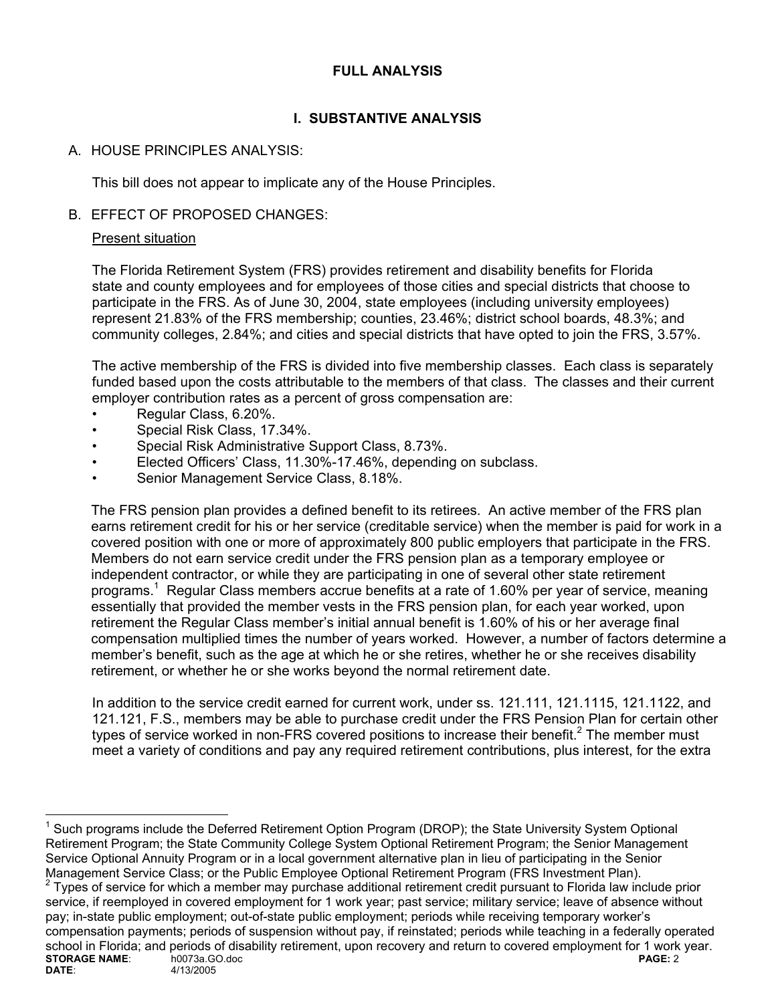# **FULL ANALYSIS**

# **I. SUBSTANTIVE ANALYSIS**

# A. HOUSE PRINCIPLES ANALYSIS:

This bill does not appear to implicate any of the House Principles.

# B. EFFECT OF PROPOSED CHANGES:

### Present situation

The Florida Retirement System (FRS) provides retirement and disability benefits for Florida state and county employees and for employees of those cities and special districts that choose to participate in the FRS. As of June 30, 2004, state employees (including university employees) represent 21.83% of the FRS membership; counties, 23.46%; district school boards, 48.3%; and community colleges, 2.84%; and cities and special districts that have opted to join the FRS, 3.57%.

The active membership of the FRS is divided into five membership classes. Each class is separately funded based upon the costs attributable to the members of that class. The classes and their current employer contribution rates as a percent of gross compensation are:

- Regular Class, 6.20%.
- Special Risk Class, 17.34%.
- Special Risk Administrative Support Class, 8.73%.
- Elected Officers' Class, 11.30%-17.46%, depending on subclass.
- Senior Management Service Class, 8.18%.

The FRS pension plan provides a defined benefit to its retirees. An active member of the FRS plan earns retirement credit for his or her service (creditable service) when the member is paid for work in a covered position with one or more of approximately 800 public employers that participate in the FRS. Members do not earn service credit under the FRS pension plan as a temporary employee or independent contractor, or while they are participating in one of several other state retirement programs.<sup>1</sup> Regular Class members accrue benefits at a rate of 1.60% per year of service, meaning essentially that provided the member vests in the FRS pension plan, for each year worked, upon retirement the Regular Class member's initial annual benefit is 1.60% of his or her average final compensation multiplied times the number of years worked. However, a number of factors determine a member's benefit, such as the age at which he or she retires, whether he or she receives disability retirement, or whether he or she works beyond the normal retirement date.

In addition to the service credit earned for current work, under ss. 121.111, 121.1115, 121.1122, and 121.121, F.S., members may be able to purchase credit under the FRS Pension Plan for certain other types of service worked in non-FRS covered positions to increase their benefit.<sup>2</sup> The member must meet a variety of conditions and pay any required retirement contributions, plus interest, for the extra

 $\overline{a}$ <sup>1</sup> Such programs include the Deferred Retirement Option Program (DROP); the State University System Optional Retirement Program; the State Community College System Optional Retirement Program; the Senior Management Service Optional Annuity Program or in a local government alternative plan in lieu of participating in the Senior Management Service Class; or the Public Employee Optional Retirement Program (FRS Investment Plan). 2

**STORAGE NAME:** h0073a.GO.doc **PAGE: 2**<br> **DATE:** 4/13/2005 4/13/2005 **DATE**: 4/13/2005 Types of service for which a member may purchase additional retirement credit pursuant to Florida law include prior service, if reemployed in covered employment for 1 work year; past service; military service; leave of absence without pay; in-state public employment; out-of-state public employment; periods while receiving temporary worker's compensation payments; periods of suspension without pay, if reinstated; periods while teaching in a federally operated school in Florida; and periods of disability retirement, upon recovery and return to covered employment for 1 work year.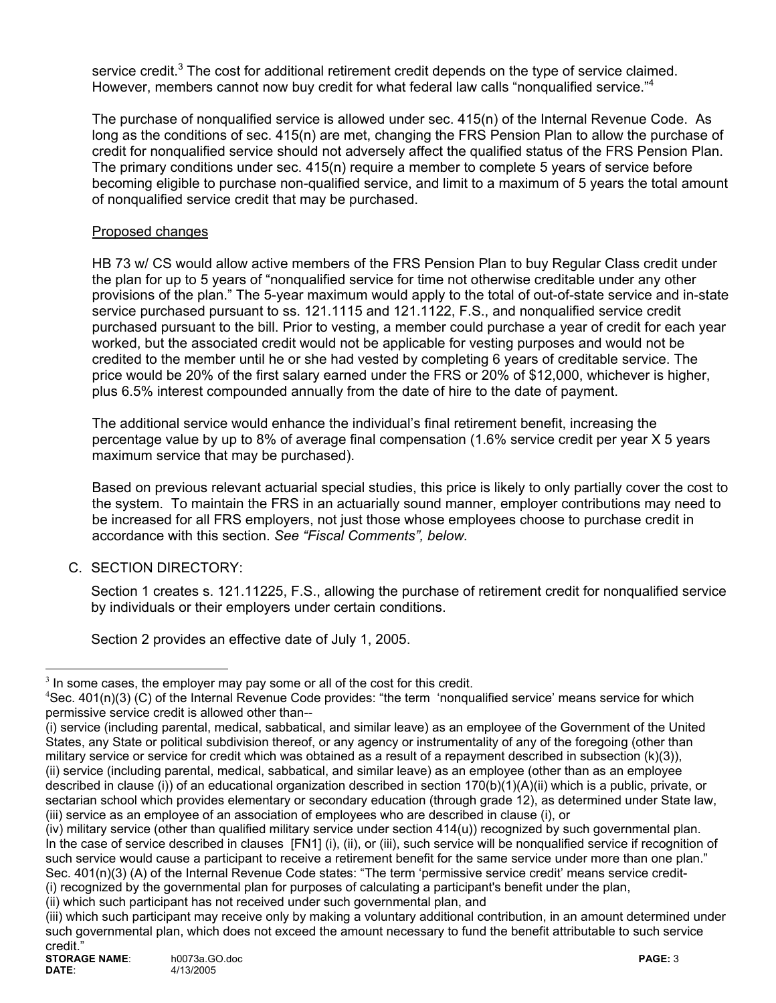service credit.<sup>3</sup> The cost for additional retirement credit depends on the type of service claimed. However, members cannot now buy credit for what federal law calls "nonqualified service."<sup>4</sup>

The purchase of nonqualified service is allowed under sec. 415(n) of the Internal Revenue Code. As long as the conditions of sec. 415(n) are met, changing the FRS Pension Plan to allow the purchase of credit for nonqualified service should not adversely affect the qualified status of the FRS Pension Plan. The primary conditions under sec. 415(n) require a member to complete 5 years of service before becoming eligible to purchase non-qualified service, and limit to a maximum of 5 years the total amount of nonqualified service credit that may be purchased.

### Proposed changes

HB 73 w/ CS would allow active members of the FRS Pension Plan to buy Regular Class credit under the plan for up to 5 years of "nonqualified service for time not otherwise creditable under any other provisions of the plan." The 5-year maximum would apply to the total of out-of-state service and in-state service purchased pursuant to ss. 121.1115 and 121.1122, F.S., and nonqualified service credit purchased pursuant to the bill. Prior to vesting, a member could purchase a year of credit for each year worked, but the associated credit would not be applicable for vesting purposes and would not be credited to the member until he or she had vested by completing 6 years of creditable service. The price would be 20% of the first salary earned under the FRS or 20% of \$12,000, whichever is higher, plus 6.5% interest compounded annually from the date of hire to the date of payment.

The additional service would enhance the individual's final retirement benefit, increasing the percentage value by up to 8% of average final compensation (1.6% service credit per year X 5 years maximum service that may be purchased).

Based on previous relevant actuarial special studies, this price is likely to only partially cover the cost to the system. To maintain the FRS in an actuarially sound manner, employer contributions may need to be increased for all FRS employers, not just those whose employees choose to purchase credit in accordance with this section. *See "Fiscal Comments", below.* 

### C. SECTION DIRECTORY:

 Section 1 creates s. 121.11225, F.S., allowing the purchase of retirement credit for nonqualified service by individuals or their employers under certain conditions.

Section 2 provides an effective date of July 1, 2005.

(ii) which such participant has not received under such governmental plan, and

 $\overline{a}$ 

 $3$  In some cases, the employer may pay some or all of the cost for this credit.

 ${}^{4}$ Sec. 401(n)(3) (C) of the Internal Revenue Code provides: "the term 'nonqualified service' means service for which permissive service credit is allowed other than--

<sup>(</sup>i) service (including parental, medical, sabbatical, and similar leave) as an employee of the Government of the United States, any State or political subdivision thereof, or any agency or instrumentality of any of the foregoing (other than military service or service for credit which was obtained as a result of a repayment described in subsection (k)(3)), (ii) service (including parental, medical, sabbatical, and similar leave) as an employee (other than as an employee described in clause (i)) of an educational organization described in section 170(b)(1)(A)(ii) which is a public, private, or sectarian school which provides elementary or secondary education (through grade 12), as determined under State law, (iii) service as an employee of an association of employees who are described in clause (i), or

<sup>(</sup>iv) military service (other than qualified military service under section 414(u)) recognized by such governmental plan. In the case of service described in clauses [FN1] (i), (ii), or (iii), such service will be nonqualified service if recognition of such service would cause a participant to receive a retirement benefit for the same service under more than one plan." Sec. 401(n)(3) (A) of the Internal Revenue Code states: "The term 'permissive service credit' means service credit-(i) recognized by the governmental plan for purposes of calculating a participant's benefit under the plan,

<sup>(</sup>iii) which such participant may receive only by making a voluntary additional contribution, in an amount determined under such governmental plan, which does not exceed the amount necessary to fund the benefit attributable to such service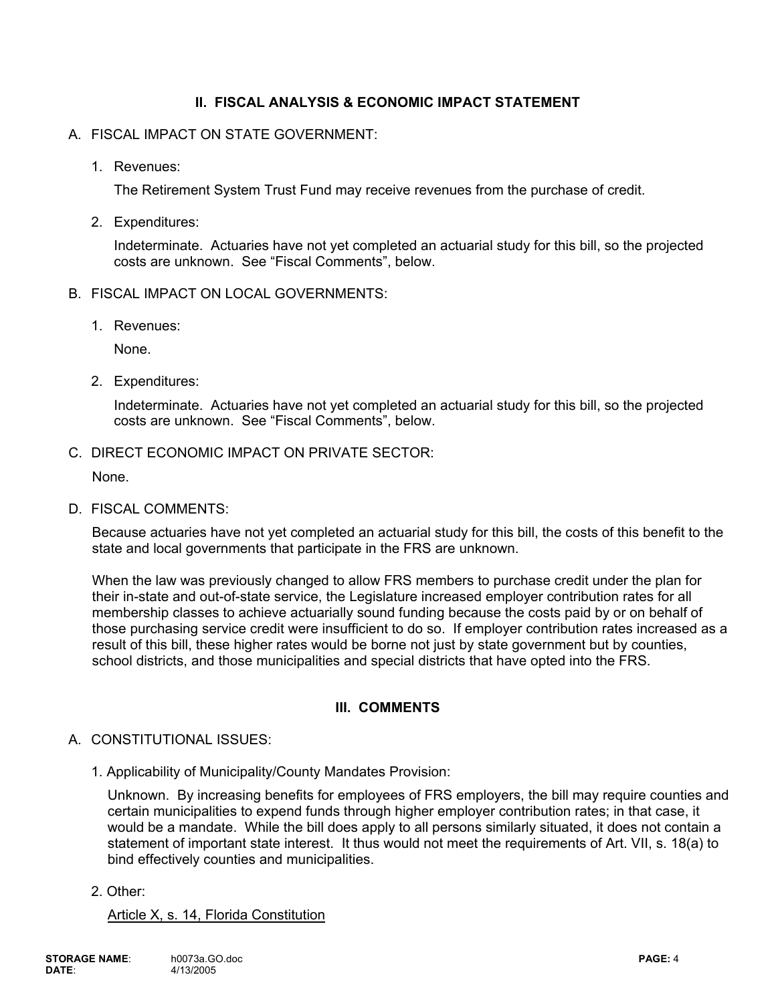# **II. FISCAL ANALYSIS & ECONOMIC IMPACT STATEMENT**

#### A. FISCAL IMPACT ON STATE GOVERNMENT:

1. Revenues:

The Retirement System Trust Fund may receive revenues from the purchase of credit.

2. Expenditures:

Indeterminate. Actuaries have not yet completed an actuarial study for this bill, so the projected costs are unknown. See "Fiscal Comments", below.

- B. FISCAL IMPACT ON LOCAL GOVERNMENTS:
	- 1. Revenues:

None.

2. Expenditures:

Indeterminate. Actuaries have not yet completed an actuarial study for this bill, so the projected costs are unknown. See "Fiscal Comments", below.

C. DIRECT ECONOMIC IMPACT ON PRIVATE SECTOR:

None.

D. FISCAL COMMENTS:

Because actuaries have not yet completed an actuarial study for this bill, the costs of this benefit to the state and local governments that participate in the FRS are unknown.

When the law was previously changed to allow FRS members to purchase credit under the plan for their in-state and out-of-state service, the Legislature increased employer contribution rates for all membership classes to achieve actuarially sound funding because the costs paid by or on behalf of those purchasing service credit were insufficient to do so. If employer contribution rates increased as a result of this bill, these higher rates would be borne not just by state government but by counties, school districts, and those municipalities and special districts that have opted into the FRS.

### **III. COMMENTS**

### A. CONSTITUTIONAL ISSUES:

1. Applicability of Municipality/County Mandates Provision:

Unknown. By increasing benefits for employees of FRS employers, the bill may require counties and certain municipalities to expend funds through higher employer contribution rates; in that case, it would be a mandate. While the bill does apply to all persons similarly situated, it does not contain a statement of important state interest. It thus would not meet the requirements of Art. VII, s. 18(a) to bind effectively counties and municipalities.

2. Other:

#### Article X, s. 14, Florida Constitution